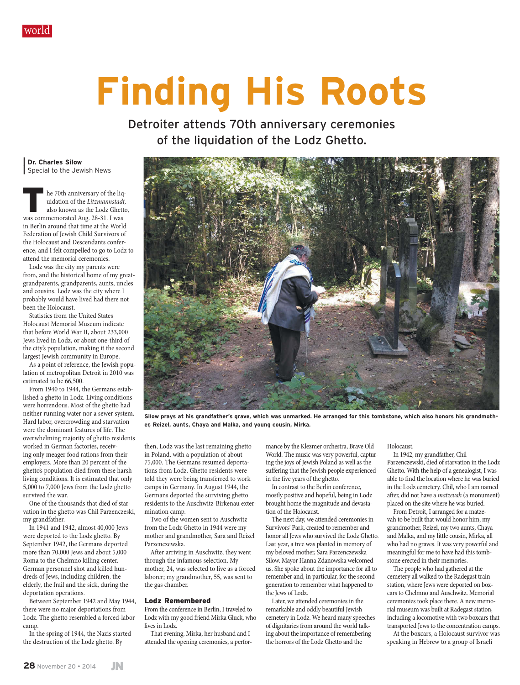

## **Finding His Roots**

Detroiter attends 70th anniversary ceremonies of the liquidation of the Lodz Ghetto.

**| Dr. Charles Silow |** Special to the Jewish News

he 70th anniversary of the liquidation of the *Litzmannstadt,*  also known as the Lodz Ghetto, was commemorated Aug. 28-31. I was in Berlin around that time at the World Federation of Jewish Child Survivors of the Holocaust and Descendants conference, and I felt compelled to go to Lodz to attend the memorial ceremonies.

Lodz was the city my parents were from, and the historical home of my greatgrandparents, grandparents, aunts, uncles and cousins. Lodz was the city where I probably would have lived had there not been the Holocaust.

Statistics from the United States Holocaust Memorial Museum indicate that before World War II, about 233,000 Jews lived in Lodz, or about one-third of the city's population, making it the second largest Jewish community in Europe.

As a point of reference, the Jewish population of metropolitan Detroit in 2010 was estimated to be 66,500.

From 1940 to 1944, the Germans established a ghetto in Lodz. Living conditions were horrendous. Most of the ghetto had neither running water nor a sewer system. Hard labor, overcrowding and starvation were the dominant features of life. The overwhelming majority of ghetto residents worked in German factories, receiving only meager food rations from their employers. More than 20 percent of the ghetto's population died from these harsh living conditions. It is estimated that only 5,000 to 7,000 Jews from the Lodz ghetto survived the war.

One of the thousands that died of starvation in the ghetto was Chil Parzenczeski, my grandfather.

In 1941 and 1942, almost 40,000 Jews were deported to the Lodz ghetto. By September 1942, the Germans deported more than 70,000 Jews and about 5,000 Roma to the Chelmno killing center. German personnel shot and killed hundreds of Jews, including children, the elderly, the frail and the sick, during the deportation operations.

Between September 1942 and May 1944, there were no major deportations from Lodz. The ghetto resembled a forced-labor camp.

In the spring of 1944, the Nazis started the destruction of the Lodz ghetto. By



**Silow prays at his grandfather's grave, which was unmarked. He arranged for this tombstone, which also honors his grandmother, Reizel, aunts, Chaya and Malka, and young cousin, Mirka.**

then, Lodz was the last remaining ghetto in Poland, with a population of about 75,000. The Germans resumed deportations from Lodz. Ghetto residents were told they were being transferred to work camps in Germany. In August 1944, the Germans deported the surviving ghetto residents to the Auschwitz-Birkenau extermination camp.

Two of the women sent to Auschwitz from the Lodz Ghetto in 1944 were my mother and grandmother, Sara and Reizel Parzenczewska.

After arriving in Auschwitz, they went through the infamous selection. My mother, 24, was selected to live as a forced laborer; my grandmother, 55, was sent to the gas chamber.

## Lodz Remembered

From the conference in Berlin, I traveled to Lodz with my good friend Mirka Gluck, who lives in Lodz.

That evening, Mirka, her husband and I attended the opening ceremonies, a performance by the Klezmer orchestra, Brave Old World. The music was very powerful, capturing the joys of Jewish Poland as well as the suffering that the Jewish people experienced in the five years of the ghetto.

In contrast to the Berlin conference, mostly positive and hopeful, being in Lodz brought home the magnitude and devastation of the Holocaust.

The next day, we attended ceremonies in Survivors' Park, created to remember and honor all Jews who survived the Lodz Ghetto. Last year, a tree was planted in memory of my beloved mother, Sara Parzenczewska Silow. Mayor Hanna Zdanowska welcomed us. She spoke about the importance for all to remember and, in particular, for the second generation to remember what happened to the Jews of Lodz.

Later, we attended ceremonies in the remarkable and oddly beautiful Jewish cemetery in Lodz. We heard many speeches of dignitaries from around the world talking about the importance of remembering the horrors of the Lodz Ghetto and the

Holocaust.

In 1942, my grandfather, Chil Parzenczewski, died of starvation in the Lodz Ghetto. With the help of a genealogist, I was able to find the location where he was buried in the Lodz cemetery. Chil, who I am named after, did not have a *matzevah* (a monument) placed on the site where he was buried.

From Detroit, I arranged for a matzevah to be built that would honor him, my grandmother, Reizel, my two aunts, Chaya and Malka, and my little cousin, Mirka, all who had no graves. It was very powerful and meaningful for me to have had this tombstone erected in their memories.

The people who had gathered at the cemetery all walked to the Radegast train station, where Jews were deported on boxcars to Chelmno and Auschwitz. Memorial ceremonies took place there. A new memorial museum was built at Radegast station, including a locomotive with two boxcars that transported Jews to the concentration camps.

At the boxcars, a Holocaust survivor was speaking in Hebrew to a group of Israeli